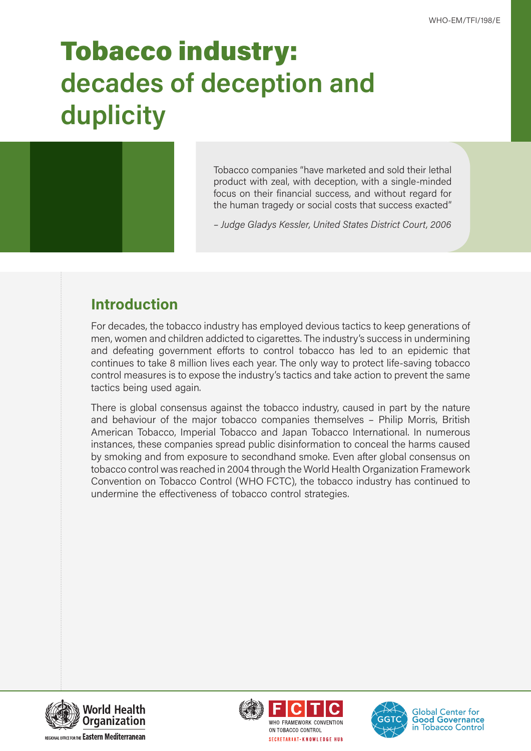# Tobacco industry: **decades of deception and duplicity**



Tobacco companies "have marketed and sold their lethal product with zeal, with deception, with a single-minded focus on their financial success, and without regard for the human tragedy or social costs that success exacted"

*– Judge Gladys Kessler, United States District Court, 2006*

## **Introduction**

For decades, the tobacco industry has employed devious tactics to keep generations of men, women and children addicted to cigarettes. The industry's success in undermining and defeating government efforts to control tobacco has led to an epidemic that continues to take 8 million lives each year. The only way to protect life-saving tobacco control measures is to expose the industry's tactics and take action to prevent the same tactics being used again.

There is global consensus against the tobacco industry, caused in part by the nature and behaviour of the major tobacco companies themselves – Philip Morris, British American Tobacco, Imperial Tobacco and Japan Tobacco International. In numerous instances, these companies spread public disinformation to conceal the harms caused by smoking and from exposure to secondhand smoke. Even after global consensus on tobacco control was reached in 2004 through the World Health Organization Framework Convention on Tobacco Control (WHO FCTC), the tobacco industry has continued to undermine the effectiveness of tobacco control strategies.







**Global Center for Good Governance** in Tobacco Control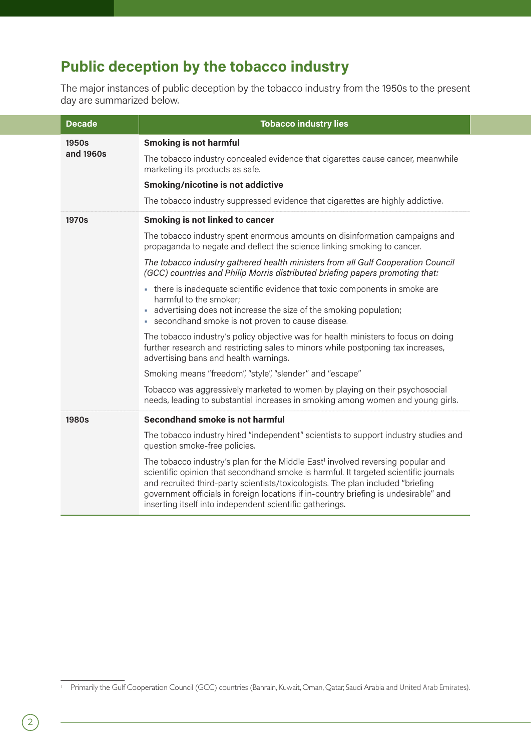# **Public deception by the tobacco industry**

The major instances of public deception by the tobacco industry from the 1950s to the present day are summarized below.

| <b>Decade</b> | <b>Tobacco industry lies</b>                                                                                                                                                                                                                                                                                                                                                                                               |
|---------------|----------------------------------------------------------------------------------------------------------------------------------------------------------------------------------------------------------------------------------------------------------------------------------------------------------------------------------------------------------------------------------------------------------------------------|
| 1950s         | <b>Smoking is not harmful</b>                                                                                                                                                                                                                                                                                                                                                                                              |
| and 1960s     | The tobacco industry concealed evidence that cigarettes cause cancer, meanwhile<br>marketing its products as safe.                                                                                                                                                                                                                                                                                                         |
|               | <b>Smoking/nicotine is not addictive</b>                                                                                                                                                                                                                                                                                                                                                                                   |
|               | The tobacco industry suppressed evidence that cigarettes are highly addictive.                                                                                                                                                                                                                                                                                                                                             |
| 1970s         | <b>Smoking is not linked to cancer</b>                                                                                                                                                                                                                                                                                                                                                                                     |
|               | The tobacco industry spent enormous amounts on disinformation campaigns and<br>propaganda to negate and deflect the science linking smoking to cancer.                                                                                                                                                                                                                                                                     |
|               | The tobacco industry gathered health ministers from all Gulf Cooperation Council<br>(GCC) countries and Philip Morris distributed briefing papers promoting that:                                                                                                                                                                                                                                                          |
|               | - there is inadequate scientific evidence that toxic components in smoke are<br>harmful to the smoker;<br>advertising does not increase the size of the smoking population;<br>• secondhand smoke is not proven to cause disease.                                                                                                                                                                                          |
|               | The tobacco industry's policy objective was for health ministers to focus on doing<br>further research and restricting sales to minors while postponing tax increases,<br>advertising bans and health warnings.                                                                                                                                                                                                            |
|               | Smoking means "freedom", "style", "slender" and "escape"                                                                                                                                                                                                                                                                                                                                                                   |
|               | Tobacco was aggressively marketed to women by playing on their psychosocial<br>needs, leading to substantial increases in smoking among women and young girls.                                                                                                                                                                                                                                                             |
| <b>1980s</b>  | Secondhand smoke is not harmful                                                                                                                                                                                                                                                                                                                                                                                            |
|               | The tobacco industry hired "independent" scientists to support industry studies and<br>question smoke-free policies.                                                                                                                                                                                                                                                                                                       |
|               | The tobacco industry's plan for the Middle East <sup>1</sup> involved reversing popular and<br>scientific opinion that secondhand smoke is harmful. It targeted scientific journals<br>and recruited third-party scientists/toxicologists. The plan included "briefing<br>government officials in foreign locations if in-country briefing is undesirable" and<br>inserting itself into independent scientific gatherings. |

<sup>1</sup> Primarily the Gulf Cooperation Council (GCC) countries (Bahrain, Kuwait, Oman, Qatar, Saudi Arabia and United Arab Emirates).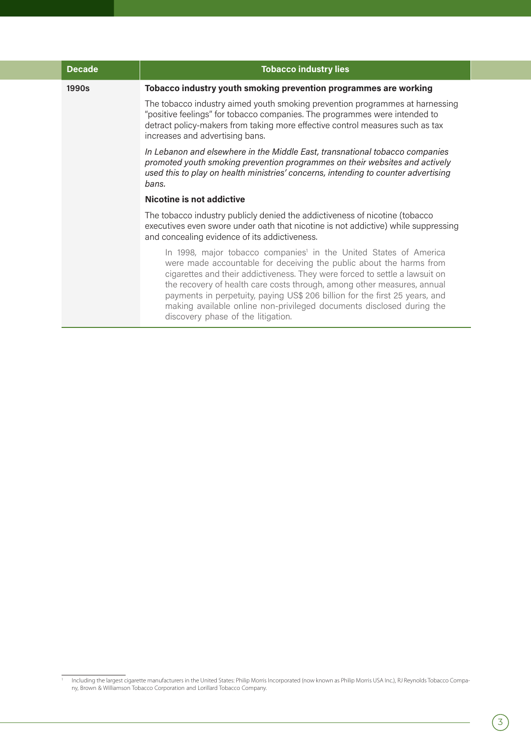| <b>Decade</b> | <b>Tobacco industry lies</b>                                                                                                                                                                                                                                                                                                                                                                                                                                                                                 |
|---------------|--------------------------------------------------------------------------------------------------------------------------------------------------------------------------------------------------------------------------------------------------------------------------------------------------------------------------------------------------------------------------------------------------------------------------------------------------------------------------------------------------------------|
| 1990s         | Tobacco industry youth smoking prevention programmes are working                                                                                                                                                                                                                                                                                                                                                                                                                                             |
|               | The tobacco industry aimed youth smoking prevention programmes at harnessing<br>"positive feelings" for tobacco companies. The programmes were intended to<br>detract policy-makers from taking more effective control measures such as tax<br>increases and advertising bans.                                                                                                                                                                                                                               |
|               | In Lebanon and elsewhere in the Middle East, transnational tobacco companies<br>promoted youth smoking prevention programmes on their websites and actively<br>used this to play on health ministries' concerns, intending to counter advertising<br>bans.                                                                                                                                                                                                                                                   |
|               | Nicotine is not addictive                                                                                                                                                                                                                                                                                                                                                                                                                                                                                    |
|               | The tobacco industry publicly denied the addictiveness of nicotine (tobacco<br>executives even swore under oath that nicotine is not addictive) while suppressing<br>and concealing evidence of its addictiveness.                                                                                                                                                                                                                                                                                           |
|               | In 1998, major tobacco companies <sup>1</sup> in the United States of America<br>were made accountable for deceiving the public about the harms from<br>cigarettes and their addictiveness. They were forced to settle a lawsuit on<br>the recovery of health care costs through, among other measures, annual<br>payments in perpetuity, paying US\$ 206 billion for the first 25 years, and<br>making available online non-privileged documents disclosed during the<br>discovery phase of the litigation. |

<sup>&</sup>lt;sup>1</sup> Including the largest cigarette manufacturers in the United States: Philip Morris Incorporated (now known as Philip Morris USA Inc.), RJ Reynolds Tobacco Company, Brown & Williamson Tobacco Corporation and Lorillard Tobacco Company.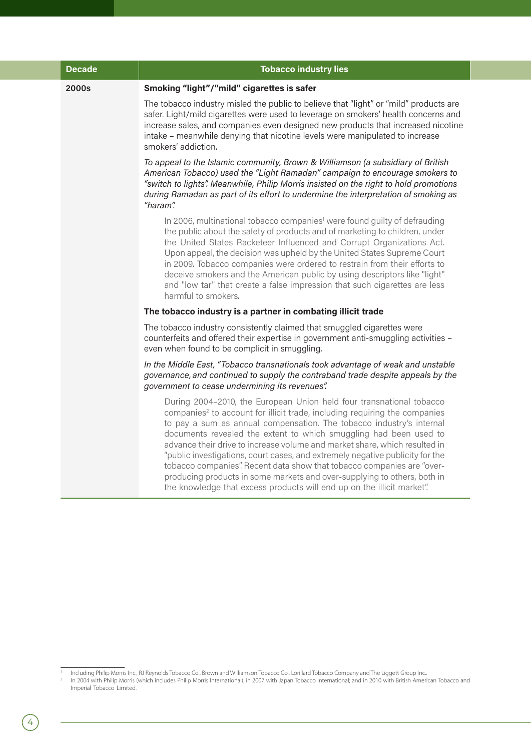| <b>Decade</b> | <b>Tobacco industry lies</b>                                                                                                                                                                                                                                                                                                                                                                                                                                                                                                                                                                                                                                                                               |
|---------------|------------------------------------------------------------------------------------------------------------------------------------------------------------------------------------------------------------------------------------------------------------------------------------------------------------------------------------------------------------------------------------------------------------------------------------------------------------------------------------------------------------------------------------------------------------------------------------------------------------------------------------------------------------------------------------------------------------|
| 2000s         | Smoking "light"/"mild" cigarettes is safer                                                                                                                                                                                                                                                                                                                                                                                                                                                                                                                                                                                                                                                                 |
|               | The tobacco industry misled the public to believe that "light" or "mild" products are<br>safer. Light/mild cigarettes were used to leverage on smokers' health concerns and<br>increase sales, and companies even designed new products that increased nicotine<br>intake - meanwhile denying that nicotine levels were manipulated to increase<br>smokers' addiction.                                                                                                                                                                                                                                                                                                                                     |
|               | To appeal to the Islamic community, Brown & Williamson (a subsidiary of British<br>American Tobacco) used the "Light Ramadan" campaign to encourage smokers to<br>"switch to lights". Meanwhile, Philip Morris insisted on the right to hold promotions<br>during Ramadan as part of its effort to undermine the interpretation of smoking as<br>"haram".                                                                                                                                                                                                                                                                                                                                                  |
|               | In 2006, multinational tobacco companies <sup>1</sup> were found guilty of defrauding<br>the public about the safety of products and of marketing to children, under<br>the United States Racketeer Influenced and Corrupt Organizations Act.<br>Upon appeal, the decision was upheld by the United States Supreme Court<br>in 2009. Tobacco companies were ordered to restrain from their efforts to<br>deceive smokers and the American public by using descriptors like "light"<br>and "low tar" that create a false impression that such cigarettes are less<br>harmful to smokers.                                                                                                                    |
|               | The tobacco industry is a partner in combating illicit trade                                                                                                                                                                                                                                                                                                                                                                                                                                                                                                                                                                                                                                               |
|               | The tobacco industry consistently claimed that smuggled cigarettes were<br>counterfeits and offered their expertise in government anti-smuggling activities -<br>even when found to be complicit in smuggling.                                                                                                                                                                                                                                                                                                                                                                                                                                                                                             |
|               | In the Middle East, "Tobacco transnationals took advantage of weak and unstable<br>governance, and continued to supply the contraband trade despite appeals by the<br>government to cease undermining its revenues".                                                                                                                                                                                                                                                                                                                                                                                                                                                                                       |
|               | During 2004-2010, the European Union held four transnational tobacco<br>companies <sup>2</sup> to account for illicit trade, including requiring the companies<br>to pay a sum as annual compensation. The tobacco industry's internal<br>documents revealed the extent to which smuggling had been used to<br>advance their drive to increase volume and market share, which resulted in<br>"public investigations, court cases, and extremely negative publicity for the<br>tobacco companies". Recent data show that tobacco companies are "over-<br>producing products in some markets and over-supplying to others, both in<br>the knowledge that excess products will end up on the illicit market". |

<sup>&#</sup>x27; Including Philip Morris Inc., RJ Reynolds Tobacco Co., Brown and Williamson Tobacco Co., Lorillard Tobacco Company and The Liggett Group Inc..<br>' In 2004 with Philip Morris (which includes Philip Morris International); in Imperial Tobacco Limited.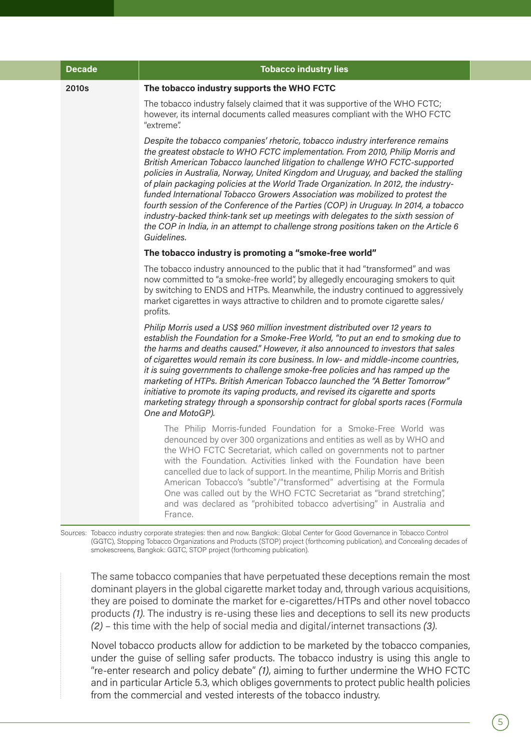| <b>Decade</b> | <b>Tobacco industry lies</b>                                                                                                                                                                                                                                                                                                                                                                                                                                                                                                                                                                                                                                                                                                                                                                       |
|---------------|----------------------------------------------------------------------------------------------------------------------------------------------------------------------------------------------------------------------------------------------------------------------------------------------------------------------------------------------------------------------------------------------------------------------------------------------------------------------------------------------------------------------------------------------------------------------------------------------------------------------------------------------------------------------------------------------------------------------------------------------------------------------------------------------------|
| 2010s         | The tobacco industry supports the WHO FCTC                                                                                                                                                                                                                                                                                                                                                                                                                                                                                                                                                                                                                                                                                                                                                         |
|               | The tobacco industry falsely claimed that it was supportive of the WHO FCTC;<br>however, its internal documents called measures compliant with the WHO FCTC<br>"extreme".                                                                                                                                                                                                                                                                                                                                                                                                                                                                                                                                                                                                                          |
|               | Despite the tobacco companies' rhetoric, tobacco industry interference remains<br>the greatest obstacle to WHO FCTC implementation. From 2010, Philip Morris and<br>British American Tobacco launched litigation to challenge WHO FCTC-supported<br>policies in Australia, Norway, United Kingdom and Uruguay, and backed the stalling<br>of plain packaging policies at the World Trade Organization. In 2012, the industry-<br>funded International Tobacco Growers Association was mobilized to protest the<br>fourth session of the Conference of the Parties (COP) in Uruguay. In 2014, a tobacco<br>industry-backed think-tank set up meetings with delegates to the sixth session of<br>the COP in India, in an attempt to challenge strong positions taken on the Article 6<br>Guidelines. |
|               | The tobacco industry is promoting a "smoke-free world"                                                                                                                                                                                                                                                                                                                                                                                                                                                                                                                                                                                                                                                                                                                                             |
|               | The tobacco industry announced to the public that it had "transformed" and was<br>now committed to "a smoke-free world", by allegedly encouraging smokers to quit<br>by switching to ENDS and HTPs. Meanwhile, the industry continued to aggressively<br>market cigarettes in ways attractive to children and to promote cigarette sales/<br>profits.                                                                                                                                                                                                                                                                                                                                                                                                                                              |
|               | Philip Morris used a US\$ 960 million investment distributed over 12 years to<br>establish the Foundation for a Smoke-Free World, "to put an end to smoking due to<br>the harms and deaths caused." However, it also announced to investors that sales<br>of cigarettes would remain its core business. In low- and middle-income countries,<br>it is suing governments to challenge smoke-free policies and has ramped up the<br>marketing of HTPs. British American Tobacco launched the "A Better Tomorrow"<br>initiative to promote its vaping products, and revised its cigarette and sports<br>marketing strategy through a sponsorship contract for global sports races (Formula<br>One and MotoGP).                                                                                        |
|               | The Philip Morris-funded Foundation for a Smoke-Free World was<br>denounced by over 300 organizations and entities as well as by WHO and<br>the WHO FCTC Secretariat, which called on governments not to partner<br>with the Foundation. Activities linked with the Foundation have been<br>cancelled due to lack of support. In the meantime, Philip Morris and British<br>American Tobacco's "subtle"/"transformed" advertising at the Formula<br>One was called out by the WHO FCTC Secretariat as "brand stretching",<br>and was declared as "prohibited tobacco advertising" in Australia and<br>France.                                                                                                                                                                                      |

Sources: Tobacco industry corporate strategies: then and now. Bangkok: Global Center for Good Governance in Tobacco Control (GGTC), Stopping Tobacco Organizations and Products (STOP) project (forthcoming publication), and Concealing decades of smokescreens, Bangkok: GGTC, STOP project (forthcoming publication).

The same tobacco companies that have perpetuated these deceptions remain the most dominant players in the global cigarette market today and, through various acquisitions, they are poised to dominate the market for e-cigarettes/HTPs and other novel tobacco products *(1)*. The industry is re-using these lies and deceptions to sell its new products *(2)* – this time with the help of social media and digital/internet transactions *(3)*.

Novel tobacco products allow for addiction to be marketed by the tobacco companies, under the guise of selling safer products. The tobacco industry is using this angle to "re-enter research and policy debate" *(1)*, aiming to further undermine the WHO FCTC and in particular Article 5.3, which obliges governments to protect public health policies from the commercial and vested interests of the tobacco industry.